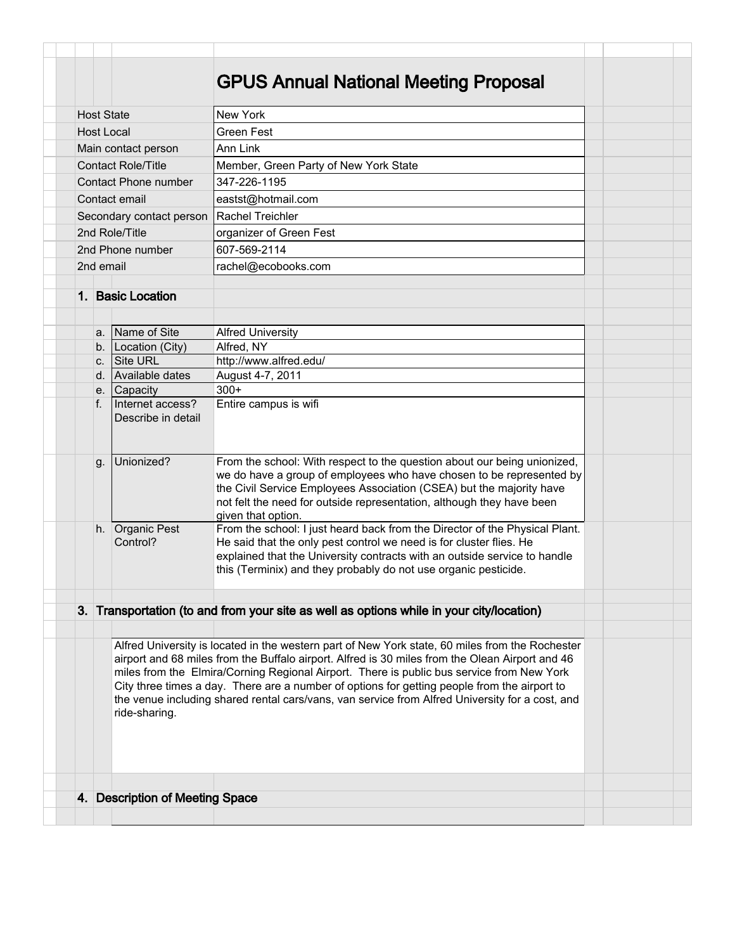|                          |    |                                        | <b>GPUS Annual National Meeting Proposal</b>                                                                                                                                                                                                                                                                                                                                                                                                                                                       |  |
|--------------------------|----|----------------------------------------|----------------------------------------------------------------------------------------------------------------------------------------------------------------------------------------------------------------------------------------------------------------------------------------------------------------------------------------------------------------------------------------------------------------------------------------------------------------------------------------------------|--|
|                          |    |                                        |                                                                                                                                                                                                                                                                                                                                                                                                                                                                                                    |  |
| <b>Host State</b>        |    |                                        | New York                                                                                                                                                                                                                                                                                                                                                                                                                                                                                           |  |
| <b>Host Local</b>        |    |                                        | <b>Green Fest</b>                                                                                                                                                                                                                                                                                                                                                                                                                                                                                  |  |
| Main contact person      |    |                                        | Ann Link                                                                                                                                                                                                                                                                                                                                                                                                                                                                                           |  |
|                          |    | <b>Contact Role/Title</b>              | Member, Green Party of New York State                                                                                                                                                                                                                                                                                                                                                                                                                                                              |  |
|                          |    | Contact Phone number                   | 347-226-1195                                                                                                                                                                                                                                                                                                                                                                                                                                                                                       |  |
| Contact email            |    |                                        | eastst@hotmail.com                                                                                                                                                                                                                                                                                                                                                                                                                                                                                 |  |
| Secondary contact person |    |                                        | l Rachel Treichler                                                                                                                                                                                                                                                                                                                                                                                                                                                                                 |  |
| 2nd Role/Title           |    |                                        | organizer of Green Fest                                                                                                                                                                                                                                                                                                                                                                                                                                                                            |  |
| 2nd Phone number         |    |                                        | 607-569-2114                                                                                                                                                                                                                                                                                                                                                                                                                                                                                       |  |
| 2nd email                |    |                                        | rachel@ecobooks.com                                                                                                                                                                                                                                                                                                                                                                                                                                                                                |  |
|                          |    |                                        |                                                                                                                                                                                                                                                                                                                                                                                                                                                                                                    |  |
|                          |    | 1. Basic Location                      |                                                                                                                                                                                                                                                                                                                                                                                                                                                                                                    |  |
|                          |    |                                        |                                                                                                                                                                                                                                                                                                                                                                                                                                                                                                    |  |
|                          |    | a. Name of Site                        | <b>Alfred University</b>                                                                                                                                                                                                                                                                                                                                                                                                                                                                           |  |
|                          | b. | Location (City)                        | Alfred, NY                                                                                                                                                                                                                                                                                                                                                                                                                                                                                         |  |
|                          | C. | Site URL                               | http://www.alfred.edu/                                                                                                                                                                                                                                                                                                                                                                                                                                                                             |  |
|                          |    | d. Available dates                     | August 4-7, 2011                                                                                                                                                                                                                                                                                                                                                                                                                                                                                   |  |
|                          |    | e. Capacity                            | $300+$                                                                                                                                                                                                                                                                                                                                                                                                                                                                                             |  |
|                          | f. | Internet access?<br>Describe in detail | Entire campus is wifi                                                                                                                                                                                                                                                                                                                                                                                                                                                                              |  |
|                          | g. | Unionized?                             | From the school: With respect to the question about our being unionized,<br>we do have a group of employees who have chosen to be represented by<br>the Civil Service Employees Association (CSEA) but the majority have<br>not felt the need for outside representation, although they have been<br>given that option.                                                                                                                                                                            |  |
|                          |    | h. Organic Pest<br>Control?            | From the school: I just heard back from the Director of the Physical Plant.<br>He said that the only pest control we need is for cluster flies. He<br>explained that the University contracts with an outside service to handle<br>this (Terminix) and they probably do not use organic pesticide.                                                                                                                                                                                                 |  |
|                          |    |                                        | 3. Transportation (to and from your site as well as options while in your city/location)                                                                                                                                                                                                                                                                                                                                                                                                           |  |
|                          |    |                                        |                                                                                                                                                                                                                                                                                                                                                                                                                                                                                                    |  |
|                          |    | ride-sharing.                          | Alfred University is located in the western part of New York state, 60 miles from the Rochester<br>airport and 68 miles from the Buffalo airport. Alfred is 30 miles from the Olean Airport and 46<br>miles from the Elmira/Corning Regional Airport. There is public bus service from New York<br>City three times a day. There are a number of options for getting people from the airport to<br>the venue including shared rental cars/vans, van service from Alfred University for a cost, and |  |
|                          |    |                                        |                                                                                                                                                                                                                                                                                                                                                                                                                                                                                                    |  |
|                          |    |                                        |                                                                                                                                                                                                                                                                                                                                                                                                                                                                                                    |  |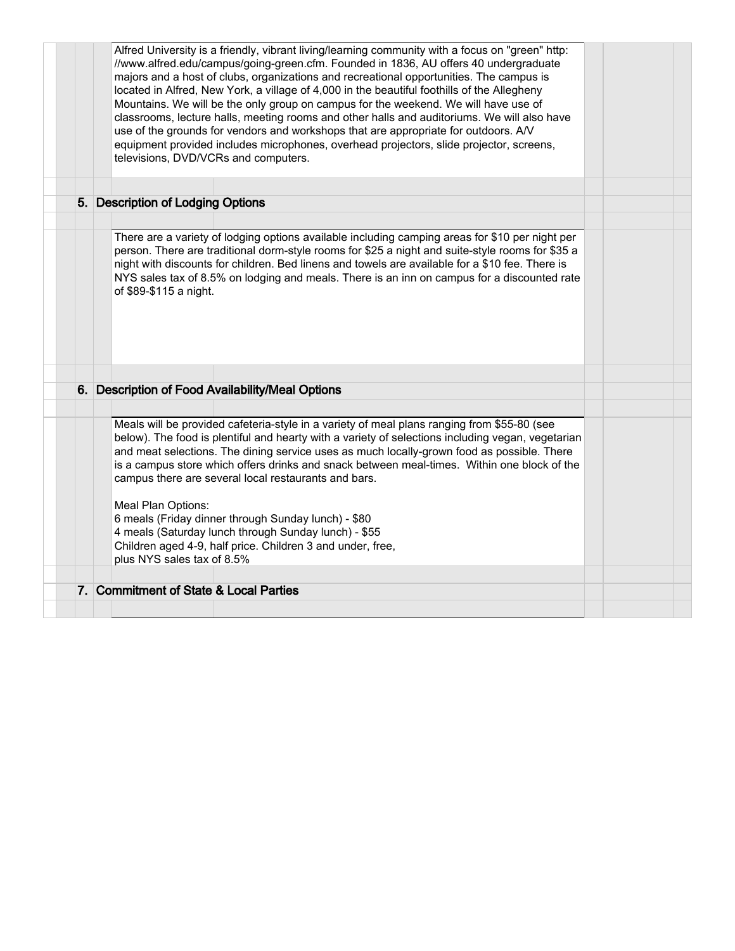| Alfred University is a friendly, vibrant living/learning community with a focus on "green" http:<br>//www.alfred.edu/campus/going-green.cfm. Founded in 1836, AU offers 40 undergraduate<br>majors and a host of clubs, organizations and recreational opportunities. The campus is<br>located in Alfred, New York, a village of 4,000 in the beautiful foothills of the Allegheny<br>Mountains. We will be the only group on campus for the weekend. We will have use of<br>classrooms, lecture halls, meeting rooms and other halls and auditoriums. We will also have<br>use of the grounds for vendors and workshops that are appropriate for outdoors. A/V<br>equipment provided includes microphones, overhead projectors, slide projector, screens,<br>televisions, DVD/VCRs and computers. |  |
|----------------------------------------------------------------------------------------------------------------------------------------------------------------------------------------------------------------------------------------------------------------------------------------------------------------------------------------------------------------------------------------------------------------------------------------------------------------------------------------------------------------------------------------------------------------------------------------------------------------------------------------------------------------------------------------------------------------------------------------------------------------------------------------------------|--|
| 5. Description of Lodging Options                                                                                                                                                                                                                                                                                                                                                                                                                                                                                                                                                                                                                                                                                                                                                                  |  |
|                                                                                                                                                                                                                                                                                                                                                                                                                                                                                                                                                                                                                                                                                                                                                                                                    |  |
| There are a variety of lodging options available including camping areas for \$10 per night per<br>person. There are traditional dorm-style rooms for \$25 a night and suite-style rooms for \$35 a<br>night with discounts for children. Bed linens and towels are available for a \$10 fee. There is<br>NYS sales tax of 8.5% on lodging and meals. There is an inn on campus for a discounted rate<br>of \$89-\$115 a night.                                                                                                                                                                                                                                                                                                                                                                    |  |
|                                                                                                                                                                                                                                                                                                                                                                                                                                                                                                                                                                                                                                                                                                                                                                                                    |  |
|                                                                                                                                                                                                                                                                                                                                                                                                                                                                                                                                                                                                                                                                                                                                                                                                    |  |
| 6. Description of Food Availability/Meal Options                                                                                                                                                                                                                                                                                                                                                                                                                                                                                                                                                                                                                                                                                                                                                   |  |
|                                                                                                                                                                                                                                                                                                                                                                                                                                                                                                                                                                                                                                                                                                                                                                                                    |  |
| Meals will be provided cafeteria-style in a variety of meal plans ranging from \$55-80 (see<br>below). The food is plentiful and hearty with a variety of selections including vegan, vegetarian<br>and meat selections. The dining service uses as much locally-grown food as possible. There<br>is a campus store which offers drinks and snack between meal-times. Within one block of the<br>campus there are several local restaurants and bars.                                                                                                                                                                                                                                                                                                                                              |  |
| Meal Plan Options:                                                                                                                                                                                                                                                                                                                                                                                                                                                                                                                                                                                                                                                                                                                                                                                 |  |
| 6 meals (Friday dinner through Sunday lunch) - \$80                                                                                                                                                                                                                                                                                                                                                                                                                                                                                                                                                                                                                                                                                                                                                |  |
| 4 meals (Saturday lunch through Sunday lunch) - \$55                                                                                                                                                                                                                                                                                                                                                                                                                                                                                                                                                                                                                                                                                                                                               |  |
| Children aged 4-9, half price. Children 3 and under, free,<br>plus NYS sales tax of 8.5%                                                                                                                                                                                                                                                                                                                                                                                                                                                                                                                                                                                                                                                                                                           |  |
| 7. Commitment of State & Local Parties                                                                                                                                                                                                                                                                                                                                                                                                                                                                                                                                                                                                                                                                                                                                                             |  |